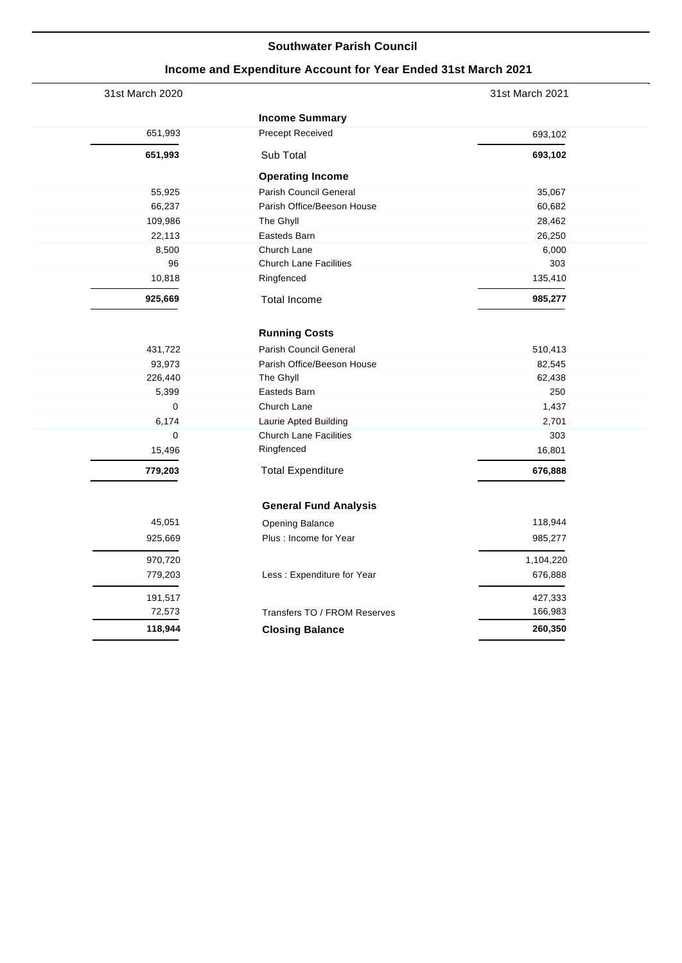### **Southwater Parish Council**

# **Income and Expenditure Account for Year Ended 31st March 2021**

| 31st March 2020 |                               | 31st March 2021 |
|-----------------|-------------------------------|-----------------|
|                 | <b>Income Summary</b>         |                 |
| 651,993         | <b>Precept Received</b>       | 693,102         |
| 651,993         | Sub Total                     | 693,102         |
|                 | <b>Operating Income</b>       |                 |
| 55,925          | Parish Council General        | 35,067          |
| 66,237          | Parish Office/Beeson House    | 60,682          |
| 109,986         | The Ghyll                     | 28,462          |
| 22,113          | Easteds Barn                  | 26,250          |
| 8,500           | Church Lane                   | 6,000           |
| 96              | <b>Church Lane Facilities</b> | 303             |
| 10,818          | Ringfenced                    | 135,410         |
| 925,669         | <b>Total Income</b>           | 985,277         |
|                 | <b>Running Costs</b>          |                 |
| 431,722         | <b>Parish Council General</b> | 510,413         |
| 93,973          | Parish Office/Beeson House    | 82,545          |
| 226,440         | The Ghyll                     | 62,438          |
| 5,399           | Easteds Barn                  | 250             |
| $\mathbf 0$     | Church Lane                   | 1,437           |
| 6,174           | Laurie Apted Building         | 2,701           |
| 0               | <b>Church Lane Facilities</b> | 303             |
| 15,496          | Ringfenced                    | 16,801          |
| 779,203         | <b>Total Expenditure</b>      | 676,888         |
|                 | <b>General Fund Analysis</b>  |                 |
| 45,051          | Opening Balance               | 118,944         |
| 925,669         | Plus: Income for Year         | 985,277         |
| 970,720         |                               | 1,104,220       |
| 779,203         | Less: Expenditure for Year    | 676,888         |
| 191,517         |                               | 427,333         |
| 72,573          | Transfers TO / FROM Reserves  | 166,983         |
| 118,944         | <b>Closing Balance</b>        | 260,350         |
|                 |                               |                 |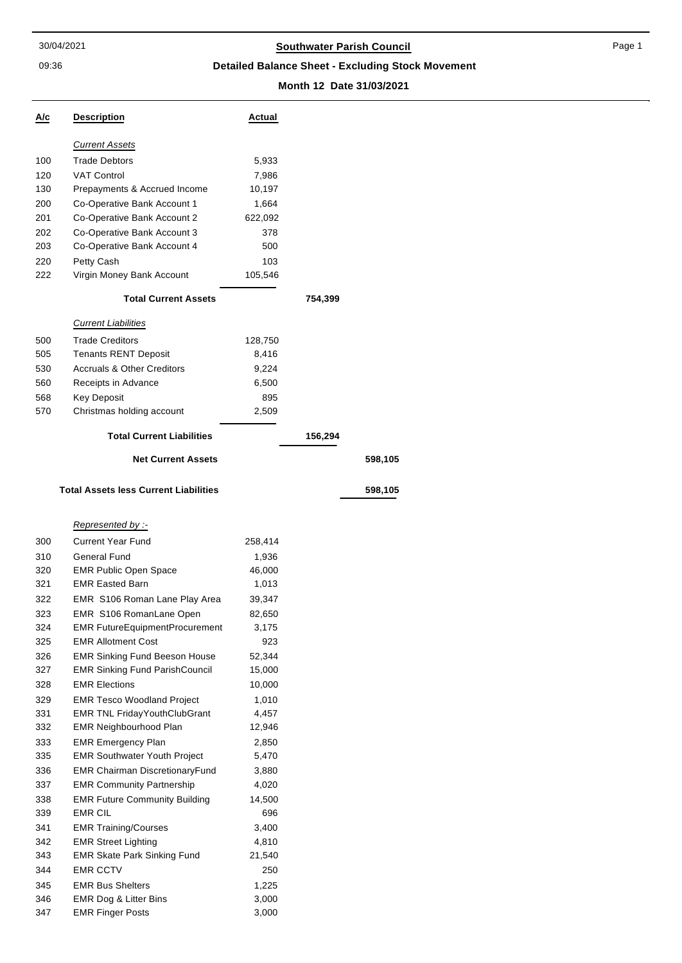09:36

# 30/04/2021 **Southwater Parish Council**

**Detailed Balance Sheet - Excluding Stock Movement**

### **Month 12 Date 31/03/2021**

**Net Current Assets 598,105**

**Total Assets less Current Liabilities 598,105**

| A/c | <b>Description</b>                           | Actual  |         |
|-----|----------------------------------------------|---------|---------|
|     | <b>Current Assets</b>                        |         |         |
| 100 | <b>Trade Debtors</b>                         | 5,933   |         |
| 120 | <b>VAT Control</b>                           | 7,986   |         |
| 130 | Prepayments & Accrued Income                 | 10,197  |         |
| 200 | Co-Operative Bank Account 1                  | 1,664   |         |
| 201 | Co-Operative Bank Account 2                  | 622,092 |         |
| 202 | Co-Operative Bank Account 3                  | 378     |         |
| 203 | Co-Operative Bank Account 4                  | 500     |         |
| 220 | Petty Cash                                   | 103     |         |
| 222 | Virgin Money Bank Account                    | 105,546 |         |
|     | <b>Total Current Assets</b>                  |         | 754,399 |
|     | <b>Current Liabilities</b>                   |         |         |
| 500 | <b>Trade Creditors</b>                       | 128,750 |         |
| 505 | <b>Tenants RENT Deposit</b>                  | 8,416   |         |
| 530 | <b>Accruals &amp; Other Creditors</b>        | 9,224   |         |
| 560 | Receipts in Advance                          | 6,500   |         |
| 568 | <b>Key Deposit</b>                           | 895     |         |
| 570 | Christmas holding account                    | 2,509   |         |
|     | <b>Total Current Liabilities</b>             |         | 156,294 |
|     | <b>Net Current Assets</b>                    |         |         |
|     | <b>Total Assets less Current Liabilities</b> |         |         |
|     | -: Represented by                            |         |         |
| 300 | <b>Current Year Fund</b>                     | 258,414 |         |
| 310 | General Fund                                 | 1,936   |         |
| 320 | <b>EMR Public Open Space</b>                 | 46,000  |         |
| 321 | <b>EMR Easted Barn</b>                       | 1,013   |         |
| 322 | EMR S106 Roman Lane Play Area                | 39,347  |         |
| 323 | EMR S106 RomanLane Open                      | 82,650  |         |
| 324 | <b>EMR FutureEquipmentProcurement</b>        | 3,175   |         |
| 325 | <b>EMR Allotment Cost</b>                    | 923     |         |
| 326 | <b>EMR Sinking Fund Beeson House</b>         | 52,344  |         |
| 327 | <b>EMR Sinking Fund ParishCouncil</b>        | 15,000  |         |
| 328 | <b>EMR Elections</b>                         | 10,000  |         |
| 329 | <b>EMR Tesco Woodland Project</b>            | 1,010   |         |
| 331 | <b>EMR TNL FridayYouthClubGrant</b>          | 4,457   |         |

| 328 | <b>EMR Elections</b>                  | 10,000 |
|-----|---------------------------------------|--------|
| 329 | <b>EMR Tesco Woodland Project</b>     | 1,010  |
| 331 | <b>EMR TNL FridayYouthClubGrant</b>   | 4,457  |
| 332 | <b>EMR Neighbourhood Plan</b>         | 12,946 |
| 333 | <b>EMR Emergency Plan</b>             | 2,850  |
| 335 | <b>EMR Southwater Youth Project</b>   | 5,470  |
| 336 | <b>EMR Chairman DiscretionaryFund</b> | 3,880  |
| 337 | <b>EMR Community Partnership</b>      | 4,020  |
| 338 | <b>EMR Future Community Building</b>  | 14,500 |
| 339 | <b>EMR CIL</b>                        | 696    |
| 341 | <b>EMR Training/Courses</b>           | 3,400  |
| 342 | <b>EMR Street Lighting</b>            | 4,810  |
| 343 | <b>EMR Skate Park Sinking Fund</b>    | 21,540 |
| 344 | <b>EMR CCTV</b>                       | 250    |
| 345 | <b>EMR Bus Shelters</b>               | 1,225  |
| 346 | <b>EMR Dog &amp; Litter Bins</b>      | 3,000  |
| 347 | <b>EMR Finger Posts</b>               | 3,000  |
|     |                                       |        |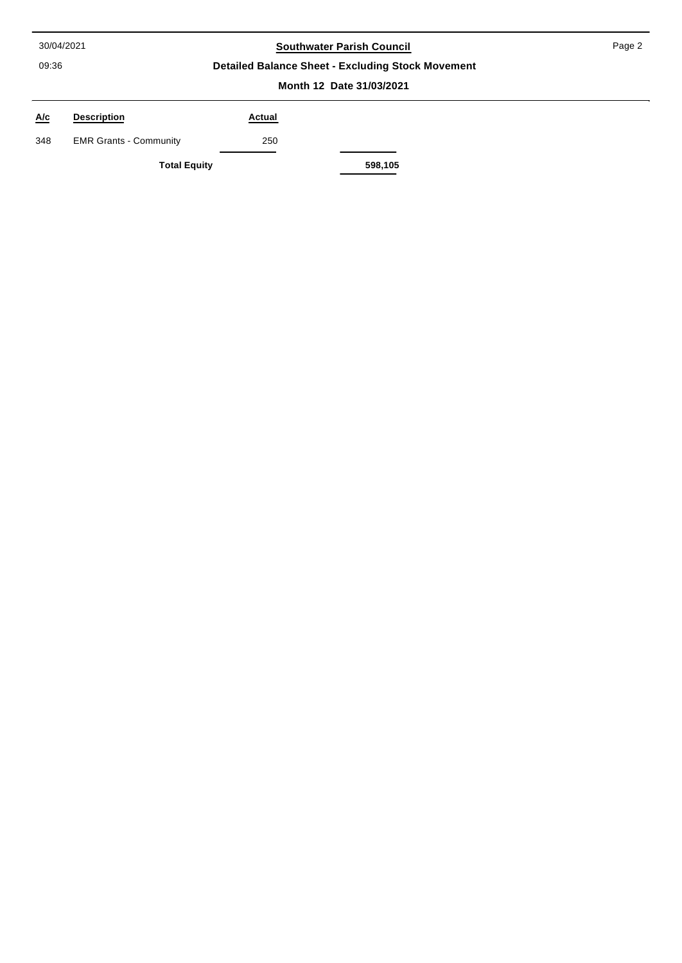09:36

# 30/04/2021 **Southwater Parish Council**

Page 2

## **Detailed Balance Sheet - Excluding Stock Movement**

#### **Month 12 Date 31/03/2021**

| $\underline{\mathsf{A}/\mathsf{c}}$ | <b>Description</b>            | Actual |         |
|-------------------------------------|-------------------------------|--------|---------|
| 348                                 | <b>EMR Grants - Community</b> | 250    |         |
|                                     | <b>Total Equity</b>           |        | 598,105 |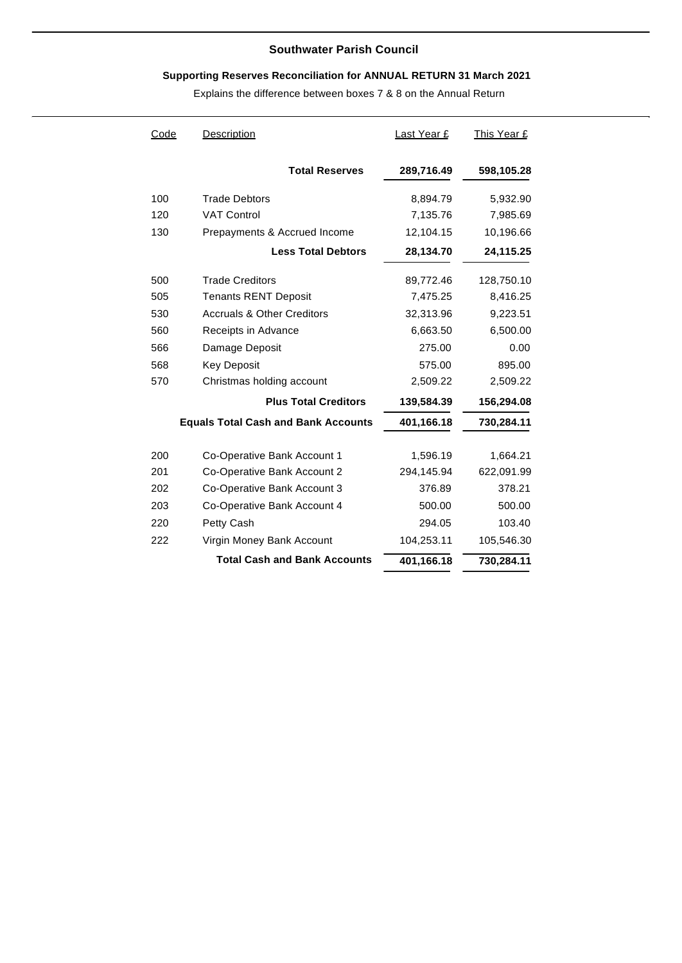## **Southwater Parish Council**

# **Supporting Reserves Reconciliation for ANNUAL RETURN 31 March 2021**

Explains the difference between boxes 7 & 8 on the Annual Return

| Code                        | <b>Description</b>                         | <u>Last Year £</u> | This Year £ |  |
|-----------------------------|--------------------------------------------|--------------------|-------------|--|
|                             | <b>Total Reserves</b>                      | 289,716.49         | 598,105.28  |  |
| 100                         | <b>Trade Debtors</b>                       | 8,894.79           | 5,932.90    |  |
| 120                         | <b>VAT Control</b>                         | 7,135.76           | 7,985.69    |  |
| 130                         | Prepayments & Accrued Income               | 12,104.15          | 10,196.66   |  |
|                             | <b>Less Total Debtors</b>                  | 28,134.70          | 24,115.25   |  |
| 500                         | <b>Trade Creditors</b>                     | 89,772.46          | 128,750.10  |  |
| 505                         | <b>Tenants RENT Deposit</b>                | 7,475.25           | 8,416.25    |  |
| 530                         | <b>Accruals &amp; Other Creditors</b>      | 32,313.96          | 9,223.51    |  |
| 560                         | Receipts in Advance                        | 6,663.50           | 6,500.00    |  |
| 566                         | Damage Deposit                             | 275.00             | 0.00        |  |
| 568                         | <b>Key Deposit</b>                         | 575.00             | 895.00      |  |
| 570                         | Christmas holding account                  | 2,509.22           | 2,509.22    |  |
| <b>Plus Total Creditors</b> |                                            | 139,584.39         | 156,294.08  |  |
|                             | <b>Equals Total Cash and Bank Accounts</b> | 401,166.18         | 730,284.11  |  |
|                             |                                            |                    |             |  |
| 200                         | Co-Operative Bank Account 1                | 1,596.19           | 1,664.21    |  |
| 201                         | Co-Operative Bank Account 2                | 294,145.94         | 622,091.99  |  |
| 202                         | Co-Operative Bank Account 3                | 376.89             | 378.21      |  |
| 203                         | Co-Operative Bank Account 4                | 500.00             | 500.00      |  |
| 220                         | Petty Cash                                 | 294.05             | 103.40      |  |
| 222                         | Virgin Money Bank Account                  | 104,253.11         | 105,546.30  |  |
|                             | <b>Total Cash and Bank Accounts</b>        | 401,166.18         | 730,284.11  |  |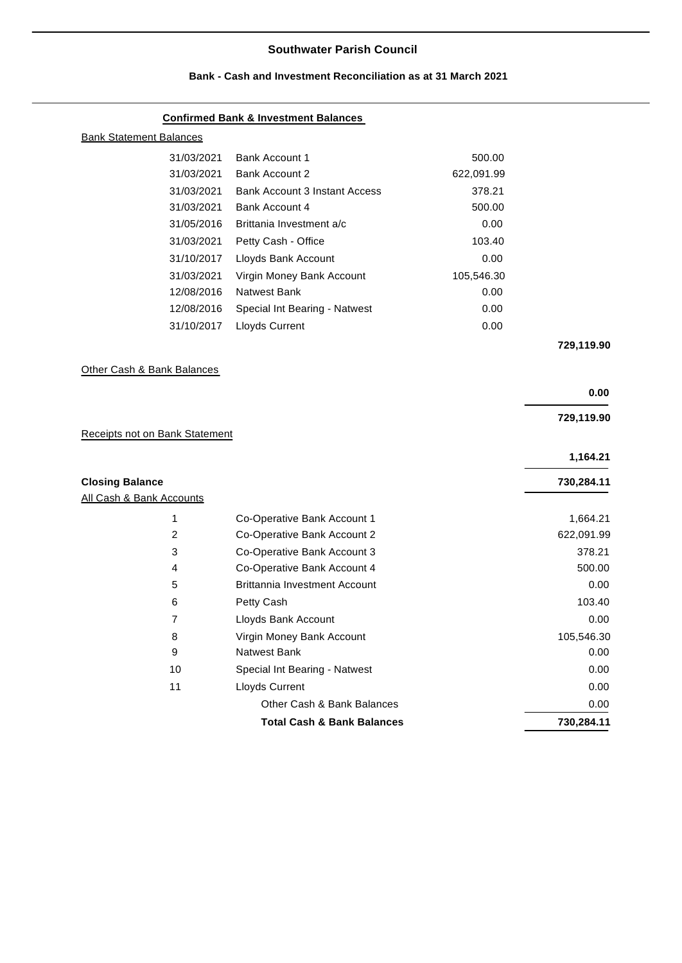### **Southwater Parish Council**

### **Confirmed Bank & Investment Balances**

| <b>Bank Statement Balances</b> |                               |            |  |  |  |  |
|--------------------------------|-------------------------------|------------|--|--|--|--|
| 31/03/2021                     | Bank Account 1                | 500.00     |  |  |  |  |
| 31/03/2021                     | Bank Account 2                | 622,091.99 |  |  |  |  |
| 31/03/2021                     | Bank Account 3 Instant Access | 378.21     |  |  |  |  |
| 31/03/2021                     | Bank Account 4                | 500.00     |  |  |  |  |
| 31/05/2016                     | Brittania Investment a/c      | 0.00       |  |  |  |  |
| 31/03/2021                     | Petty Cash - Office           | 103.40     |  |  |  |  |
| 31/10/2017                     | Lloyds Bank Account           | 0.00       |  |  |  |  |
| 31/03/2021                     | Virgin Money Bank Account     | 105,546.30 |  |  |  |  |
| 12/08/2016                     | Natwest Bank                  | 0.00       |  |  |  |  |
| 12/08/2016                     | Special Int Bearing - Natwest | 0.00       |  |  |  |  |
| 31/10/2017                     | Lloyds Current                | 0.00       |  |  |  |  |
|                                |                               |            |  |  |  |  |

**729,119.90**

## Other Cash & Bank Balances

|                                |                                       | 0.00       |
|--------------------------------|---------------------------------------|------------|
| Receipts not on Bank Statement |                                       | 729,119.90 |
|                                |                                       | 1,164.21   |
| <b>Closing Balance</b>         |                                       | 730,284.11 |
| All Cash & Bank Accounts       |                                       |            |
| 1                              | Co-Operative Bank Account 1           | 1,664.21   |
| 2                              | Co-Operative Bank Account 2           | 622,091.99 |
| 3                              | Co-Operative Bank Account 3           | 378.21     |
| 4                              | Co-Operative Bank Account 4           | 500.00     |
| 5                              | <b>Brittannia Investment Account</b>  | 0.00       |
| 6                              | Petty Cash                            | 103.40     |
| 7                              | Lloyds Bank Account                   | 0.00       |
| 8                              | Virgin Money Bank Account             | 105,546.30 |
| 9                              | <b>Natwest Bank</b>                   | 0.00       |
| 10                             | Special Int Bearing - Natwest         | 0.00       |
| 11                             | Lloyds Current                        | 0.00       |
|                                | Other Cash & Bank Balances            | 0.00       |
|                                | <b>Total Cash &amp; Bank Balances</b> | 730,284.11 |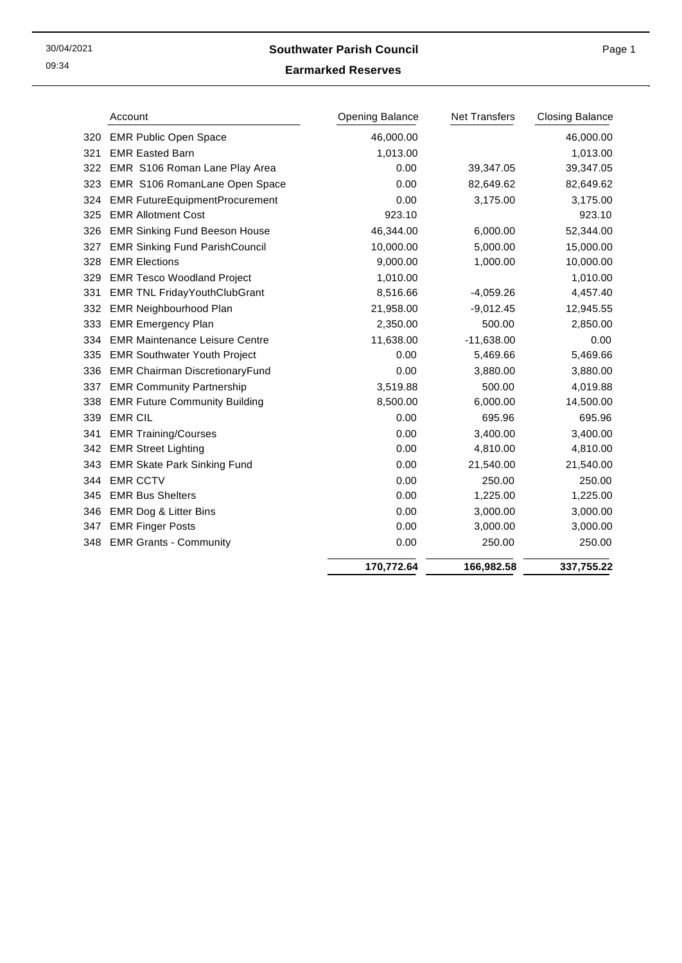09:34

## 30/04/2021 **Southwater Parish Council**

## Page 1

**Earmarked Reserves**

|     | Account                               | <b>Opening Balance</b> | <b>Net Transfers</b> | <b>Closing Balance</b> |
|-----|---------------------------------------|------------------------|----------------------|------------------------|
| 320 | <b>EMR Public Open Space</b>          | 46,000.00              |                      | 46,000.00              |
| 321 | <b>EMR Easted Barn</b>                | 1,013.00               |                      | 1,013.00               |
| 322 | EMR S106 Roman Lane Play Area         | 0.00                   | 39,347.05            | 39,347.05              |
| 323 | EMR S106 RomanLane Open Space         | 0.00                   | 82,649.62            | 82,649.62              |
| 324 | <b>EMR FutureEquipmentProcurement</b> | 0.00                   | 3,175.00             | 3,175.00               |
| 325 | <b>EMR Allotment Cost</b>             | 923.10                 |                      | 923.10                 |
| 326 | <b>EMR Sinking Fund Beeson House</b>  | 46,344.00              | 6,000.00             | 52,344.00              |
| 327 | <b>EMR Sinking Fund ParishCouncil</b> | 10,000.00              | 5,000.00             | 15,000.00              |
| 328 | <b>EMR Elections</b>                  | 9,000.00               | 1,000.00             | 10,000.00              |
| 329 | <b>EMR Tesco Woodland Project</b>     | 1,010.00               |                      | 1,010.00               |
| 331 | <b>EMR TNL FridayYouthClubGrant</b>   | 8,516.66               | $-4,059.26$          | 4,457.40               |
| 332 | EMR Neighbourhood Plan                | 21,958.00              | $-9,012.45$          | 12,945.55              |
| 333 | <b>EMR Emergency Plan</b>             | 2,350.00               | 500.00               | 2,850.00               |
| 334 | <b>EMR Maintenance Leisure Centre</b> | 11,638.00              | $-11,638.00$         | 0.00                   |
| 335 | <b>EMR Southwater Youth Project</b>   | 0.00                   | 5,469.66             | 5,469.66               |
| 336 | <b>EMR Chairman DiscretionaryFund</b> | 0.00                   | 3,880.00             | 3,880.00               |
| 337 | <b>EMR Community Partnership</b>      | 3,519.88               | 500.00               | 4,019.88               |
| 338 | <b>EMR Future Community Building</b>  | 8,500.00               | 6,000.00             | 14,500.00              |
| 339 | <b>EMR CIL</b>                        | 0.00                   | 695.96               | 695.96                 |
| 341 | <b>EMR Training/Courses</b>           | 0.00                   | 3,400.00             | 3,400.00               |
| 342 | <b>EMR Street Lighting</b>            | 0.00                   | 4,810.00             | 4,810.00               |
| 343 | <b>EMR Skate Park Sinking Fund</b>    | 0.00                   | 21,540.00            | 21,540.00              |
| 344 | <b>EMR CCTV</b>                       | 0.00                   | 250.00               | 250.00                 |
| 345 | <b>EMR Bus Shelters</b>               | 0.00                   | 1,225.00             | 1,225.00               |
| 346 | <b>EMR Dog &amp; Litter Bins</b>      | 0.00                   | 3,000.00             | 3,000.00               |
| 347 | <b>EMR Finger Posts</b>               | 0.00                   | 3,000.00             | 3,000.00               |
| 348 | <b>EMR Grants - Community</b>         | 0.00                   | 250.00               | 250.00                 |
|     |                                       | 170,772.64             | 166,982.58           | 337,755.22             |